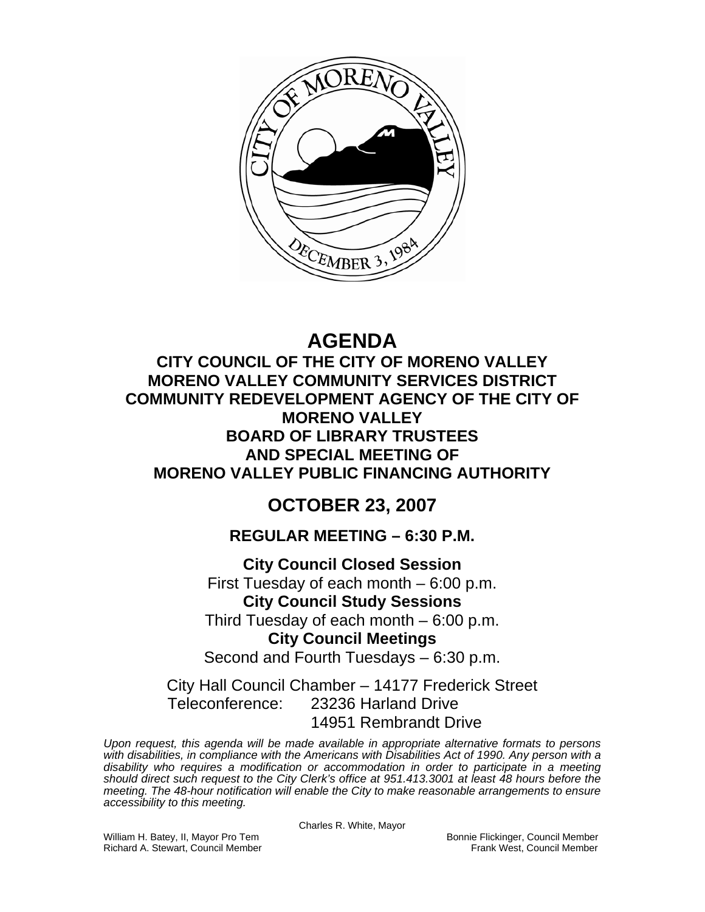

# **AGENDA**

**CITY COUNCIL OF THE CITY OF MORENO VALLEY MORENO VALLEY COMMUNITY SERVICES DISTRICT COMMUNITY REDEVELOPMENT AGENCY OF THE CITY OF MORENO VALLEY BOARD OF LIBRARY TRUSTEES AND SPECIAL MEETING OF MORENO VALLEY PUBLIC FINANCING AUTHORITY** 

# **OCTOBER 23, 2007**

# **REGULAR MEETING – 6:30 P.M.**

**City Council Closed Session**  First Tuesday of each month – 6:00 p.m. **City Council Study Sessions**  Third Tuesday of each month – 6:00 p.m. **City Council Meetings**  Second and Fourth Tuesdays – 6:30 p.m.

City Hall Council Chamber – 14177 Frederick Street Teleconference: 23236 Harland Drive 14951 Rembrandt Drive

*Upon request, this agenda will be made available in appropriate alternative formats to persons with disabilities, in compliance with the Americans with Disabilities Act of 1990. Any person with a disability who requires a modification or accommodation in order to participate in a meeting should direct such request to the City Clerk's office at 951.413.3001 at least 48 hours before the meeting. The 48-hour notification will enable the City to make reasonable arrangements to ensure accessibility to this meeting.* 

Charles R. White, Mayor

William H. Batey, II, Mayor Pro Tem **Bonnie Flickinger, Council Member**<br>Richard A. Stewart, Council Member **Bonnie Flickinger, Council Member** Richard A. Stewart, Council Member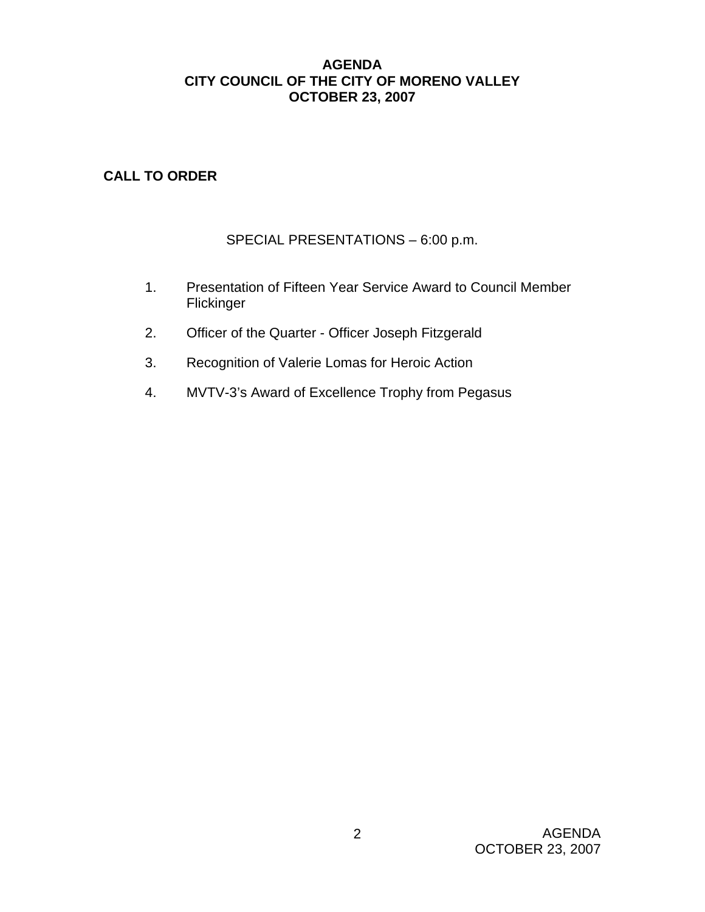# **AGENDA CITY COUNCIL OF THE CITY OF MORENO VALLEY OCTOBER 23, 2007**

# **CALL TO ORDER**

# SPECIAL PRESENTATIONS – 6:00 p.m.

- 1. Presentation of Fifteen Year Service Award to Council Member Flickinger
- 2. Officer of the Quarter Officer Joseph Fitzgerald
- 3. Recognition of Valerie Lomas for Heroic Action
- 4. MVTV-3's Award of Excellence Trophy from Pegasus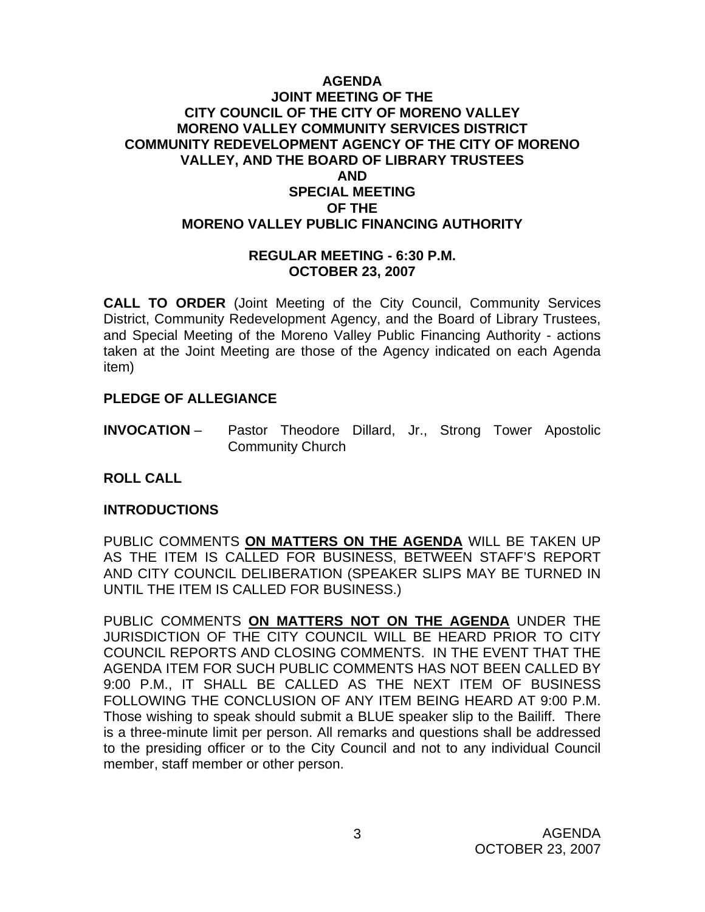# **AGENDA JOINT MEETING OF THE CITY COUNCIL OF THE CITY OF MORENO VALLEY MORENO VALLEY COMMUNITY SERVICES DISTRICT COMMUNITY REDEVELOPMENT AGENCY OF THE CITY OF MORENO VALLEY, AND THE BOARD OF LIBRARY TRUSTEES AND SPECIAL MEETING OF THE MORENO VALLEY PUBLIC FINANCING AUTHORITY**

#### **REGULAR MEETING - 6:30 P.M. OCTOBER 23, 2007**

**CALL TO ORDER** (Joint Meeting of the City Council, Community Services District, Community Redevelopment Agency, and the Board of Library Trustees, and Special Meeting of the Moreno Valley Public Financing Authority - actions taken at the Joint Meeting are those of the Agency indicated on each Agenda item)

# **PLEDGE OF ALLEGIANCE**

**INVOCATION** – Pastor Theodore Dillard, Jr., Strong Tower Apostolic Community Church

# **ROLL CALL**

# **INTRODUCTIONS**

PUBLIC COMMENTS **ON MATTERS ON THE AGENDA** WILL BE TAKEN UP AS THE ITEM IS CALLED FOR BUSINESS, BETWEEN STAFF'S REPORT AND CITY COUNCIL DELIBERATION (SPEAKER SLIPS MAY BE TURNED IN UNTIL THE ITEM IS CALLED FOR BUSINESS.)

PUBLIC COMMENTS **ON MATTERS NOT ON THE AGENDA** UNDER THE JURISDICTION OF THE CITY COUNCIL WILL BE HEARD PRIOR TO CITY COUNCIL REPORTS AND CLOSING COMMENTS. IN THE EVENT THAT THE AGENDA ITEM FOR SUCH PUBLIC COMMENTS HAS NOT BEEN CALLED BY 9:00 P.M., IT SHALL BE CALLED AS THE NEXT ITEM OF BUSINESS FOLLOWING THE CONCLUSION OF ANY ITEM BEING HEARD AT 9:00 P.M. Those wishing to speak should submit a BLUE speaker slip to the Bailiff. There is a three-minute limit per person. All remarks and questions shall be addressed to the presiding officer or to the City Council and not to any individual Council member, staff member or other person.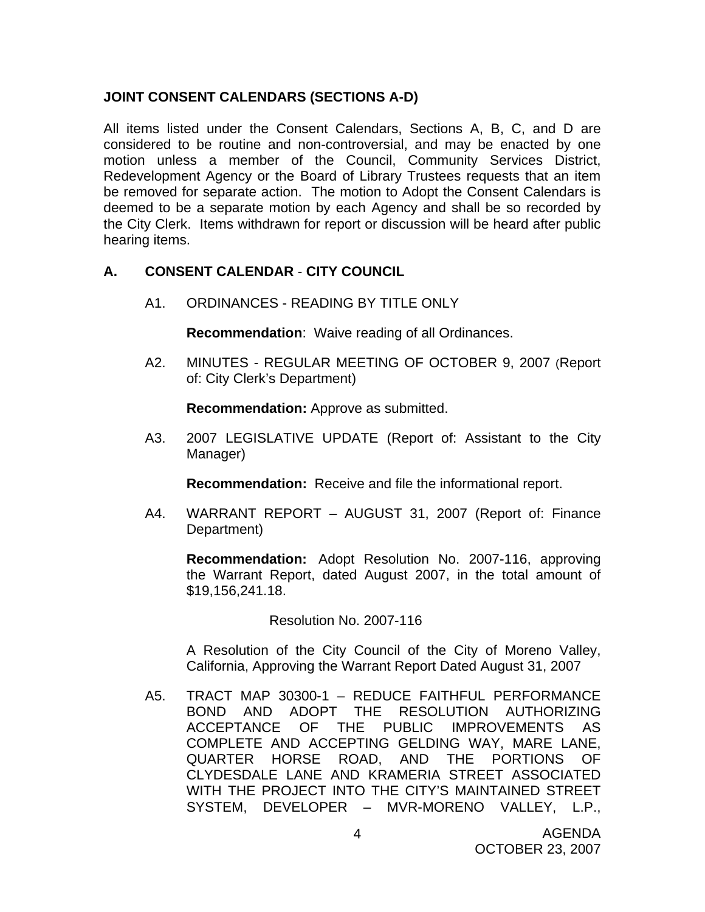# **JOINT CONSENT CALENDARS (SECTIONS A-D)**

All items listed under the Consent Calendars, Sections A, B, C, and D are considered to be routine and non-controversial, and may be enacted by one motion unless a member of the Council, Community Services District, Redevelopment Agency or the Board of Library Trustees requests that an item be removed for separate action. The motion to Adopt the Consent Calendars is deemed to be a separate motion by each Agency and shall be so recorded by the City Clerk. Items withdrawn for report or discussion will be heard after public hearing items.

# **A. CONSENT CALENDAR** - **CITY COUNCIL**

A1. ORDINANCES - READING BY TITLE ONLY

**Recommendation**: Waive reading of all Ordinances.

A2. MINUTES - REGULAR MEETING OF OCTOBER 9, 2007 (Report of: City Clerk's Department)

**Recommendation:** Approve as submitted.

 A3. 2007 LEGISLATIVE UPDATE (Report of: Assistant to the City Manager)

**Recommendation:** Receive and file the informational report.

A4. WARRANT REPORT – AUGUST 31, 2007 (Report of: Finance Department)

**Recommendation:** Adopt Resolution No. 2007-116, approving the Warrant Report, dated August 2007, in the total amount of \$19,156,241.18.

Resolution No. 2007-116

 A Resolution of the City Council of the City of Moreno Valley, California, Approving the Warrant Report Dated August 31, 2007

A5. TRACT MAP 30300-1 – REDUCE FAITHFUL PERFORMANCE BOND AND ADOPT THE RESOLUTION AUTHORIZING ACCEPTANCE OF THE PUBLIC IMPROVEMENTS AS COMPLETE AND ACCEPTING GELDING WAY, MARE LANE, QUARTER HORSE ROAD, AND THE PORTIONS OF CLYDESDALE LANE AND KRAMERIA STREET ASSOCIATED WITH THE PROJECT INTO THE CITY'S MAINTAINED STREET SYSTEM, DEVELOPER – MVR-MORENO VALLEY, L.P.,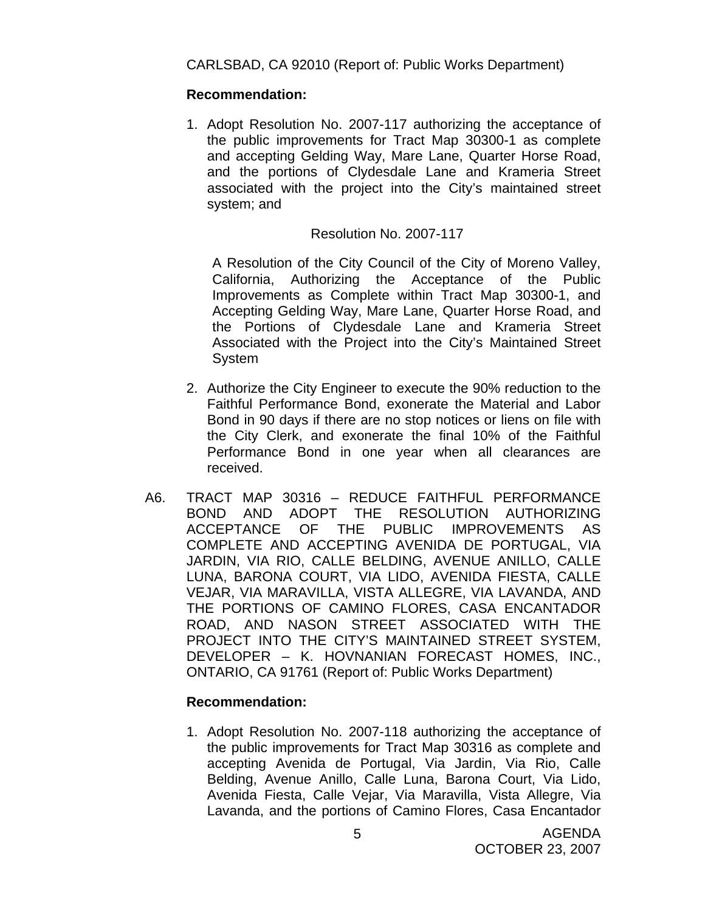CARLSBAD, CA 92010 (Report of: Public Works Department)

#### **Recommendation:**

1. Adopt Resolution No. 2007-117 authorizing the acceptance of the public improvements for Tract Map 30300-1 as complete and accepting Gelding Way, Mare Lane, Quarter Horse Road, and the portions of Clydesdale Lane and Krameria Street associated with the project into the City's maintained street system; and

#### Resolution No. 2007-117

 A Resolution of the City Council of the City of Moreno Valley, California, Authorizing the Acceptance of the Public Improvements as Complete within Tract Map 30300-1, and Accepting Gelding Way, Mare Lane, Quarter Horse Road, and the Portions of Clydesdale Lane and Krameria Street Associated with the Project into the City's Maintained Street System

- 2. Authorize the City Engineer to execute the 90% reduction to the Faithful Performance Bond, exonerate the Material and Labor Bond in 90 days if there are no stop notices or liens on file with the City Clerk, and exonerate the final 10% of the Faithful Performance Bond in one year when all clearances are received.
- A6. TRACT MAP 30316 REDUCE FAITHFUL PERFORMANCE BOND AND ADOPT THE RESOLUTION AUTHORIZING ACCEPTANCE OF THE PUBLIC IMPROVEMENTS AS COMPLETE AND ACCEPTING AVENIDA DE PORTUGAL, VIA JARDIN, VIA RIO, CALLE BELDING, AVENUE ANILLO, CALLE LUNA, BARONA COURT, VIA LIDO, AVENIDA FIESTA, CALLE VEJAR, VIA MARAVILLA, VISTA ALLEGRE, VIA LAVANDA, AND THE PORTIONS OF CAMINO FLORES, CASA ENCANTADOR ROAD, AND NASON STREET ASSOCIATED WITH THE PROJECT INTO THE CITY'S MAINTAINED STREET SYSTEM, DEVELOPER – K. HOVNANIAN FORECAST HOMES, INC., ONTARIO, CA 91761 (Report of: Public Works Department)

# **Recommendation:**

1. Adopt Resolution No. 2007-118 authorizing the acceptance of the public improvements for Tract Map 30316 as complete and accepting Avenida de Portugal, Via Jardin, Via Rio, Calle Belding, Avenue Anillo, Calle Luna, Barona Court, Via Lido, Avenida Fiesta, Calle Vejar, Via Maravilla, Vista Allegre, Via Lavanda, and the portions of Camino Flores, Casa Encantador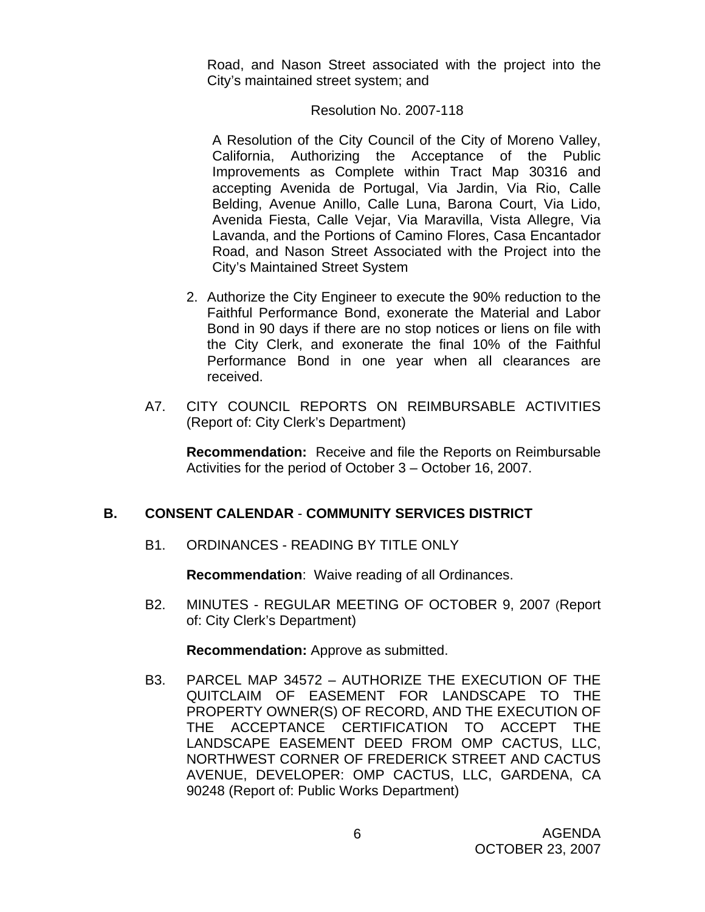Road, and Nason Street associated with the project into the City's maintained street system; and

#### Resolution No. 2007-118

 A Resolution of the City Council of the City of Moreno Valley, California, Authorizing the Acceptance of the Public Improvements as Complete within Tract Map 30316 and accepting Avenida de Portugal, Via Jardin, Via Rio, Calle Belding, Avenue Anillo, Calle Luna, Barona Court, Via Lido, Avenida Fiesta, Calle Vejar, Via Maravilla, Vista Allegre, Via Lavanda, and the Portions of Camino Flores, Casa Encantador Road, and Nason Street Associated with the Project into the City's Maintained Street System

- 2. Authorize the City Engineer to execute the 90% reduction to the Faithful Performance Bond, exonerate the Material and Labor Bond in 90 days if there are no stop notices or liens on file with the City Clerk, and exonerate the final 10% of the Faithful Performance Bond in one year when all clearances are received.
- A7. CITY COUNCIL REPORTS ON REIMBURSABLE ACTIVITIES (Report of: City Clerk's Department)

 **Recommendation:** Receive and file the Reports on Reimbursable Activities for the period of October 3 – October 16, 2007.

# **B. CONSENT CALENDAR** - **COMMUNITY SERVICES DISTRICT**

B1. ORDINANCES - READING BY TITLE ONLY

**Recommendation**: Waive reading of all Ordinances.

B2. MINUTES - REGULAR MEETING OF OCTOBER 9, 2007 (Report of: City Clerk's Department)

**Recommendation:** Approve as submitted.

B3. PARCEL MAP 34572 – AUTHORIZE THE EXECUTION OF THE QUITCLAIM OF EASEMENT FOR LANDSCAPE TO THE PROPERTY OWNER(S) OF RECORD, AND THE EXECUTION OF THE ACCEPTANCE CERTIFICATION TO ACCEPT THE LANDSCAPE EASEMENT DEED FROM OMP CACTUS, LLC, NORTHWEST CORNER OF FREDERICK STREET AND CACTUS AVENUE, DEVELOPER: OMP CACTUS, LLC, GARDENA, CA 90248 (Report of: Public Works Department)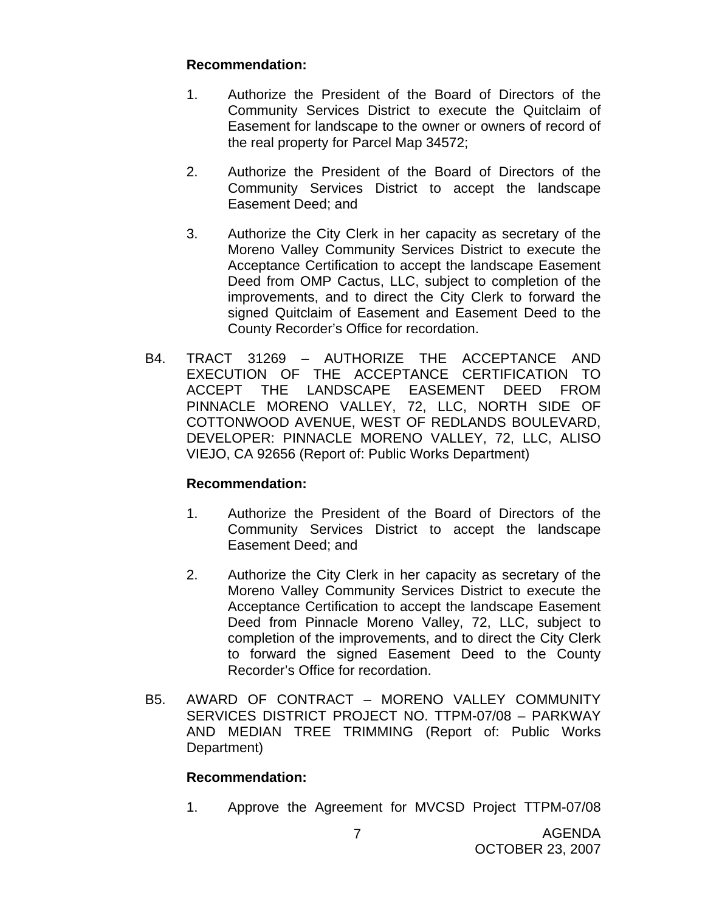# **Recommendation:**

- 1. Authorize the President of the Board of Directors of the Community Services District to execute the Quitclaim of Easement for landscape to the owner or owners of record of the real property for Parcel Map 34572;
- 2. Authorize the President of the Board of Directors of the Community Services District to accept the landscape Easement Deed; and
- 3. Authorize the City Clerk in her capacity as secretary of the Moreno Valley Community Services District to execute the Acceptance Certification to accept the landscape Easement Deed from OMP Cactus, LLC, subject to completion of the improvements, and to direct the City Clerk to forward the signed Quitclaim of Easement and Easement Deed to the County Recorder's Office for recordation.
- B4. TRACT 31269 AUTHORIZE THE ACCEPTANCE AND EXECUTION OF THE ACCEPTANCE CERTIFICATION TO ACCEPT THE LANDSCAPE EASEMENT DEED FROM PINNACLE MORENO VALLEY, 72, LLC, NORTH SIDE OF COTTONWOOD AVENUE, WEST OF REDLANDS BOULEVARD, DEVELOPER: PINNACLE MORENO VALLEY, 72, LLC, ALISO VIEJO, CA 92656 (Report of: Public Works Department)

# **Recommendation:**

- 1. Authorize the President of the Board of Directors of the Community Services District to accept the landscape Easement Deed; and
- 2. Authorize the City Clerk in her capacity as secretary of the Moreno Valley Community Services District to execute the Acceptance Certification to accept the landscape Easement Deed from Pinnacle Moreno Valley, 72, LLC, subject to completion of the improvements, and to direct the City Clerk to forward the signed Easement Deed to the County Recorder's Office for recordation.
- B5. AWARD OF CONTRACT MORENO VALLEY COMMUNITY SERVICES DISTRICT PROJECT NO. TTPM-07/08 – PARKWAY AND MEDIAN TREE TRIMMING (Report of: Public Works Department)

# **Recommendation:**

1. Approve the Agreement for MVCSD Project TTPM-07/08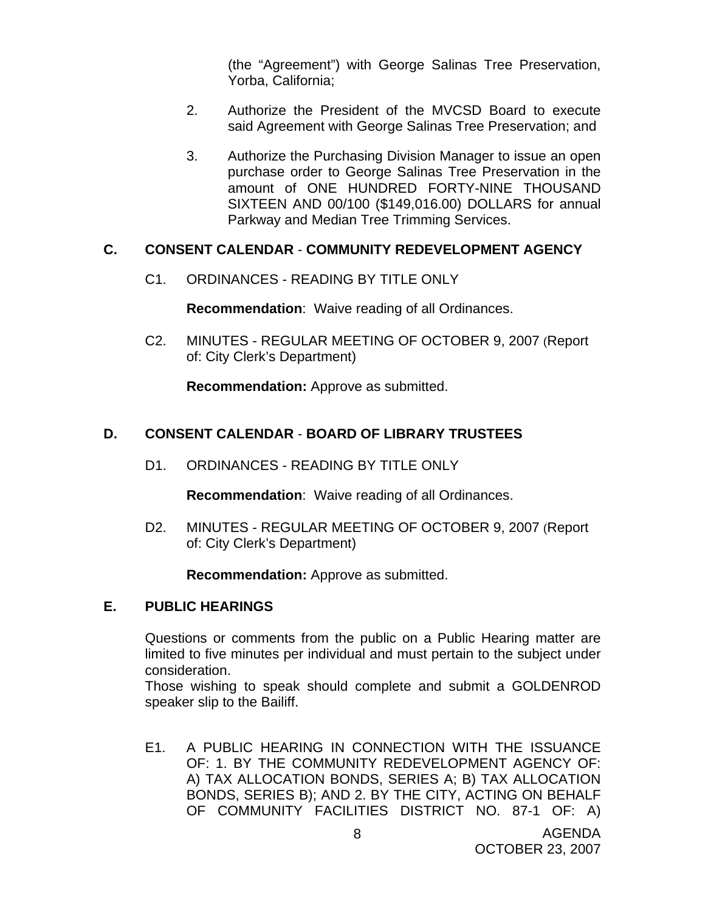(the "Agreement") with George Salinas Tree Preservation, Yorba, California;

- 2. Authorize the President of the MVCSD Board to execute said Agreement with George Salinas Tree Preservation; and
- 3. Authorize the Purchasing Division Manager to issue an open purchase order to George Salinas Tree Preservation in the amount of ONE HUNDRED FORTY-NINE THOUSAND SIXTEEN AND 00/100 (\$149,016.00) DOLLARS for annual Parkway and Median Tree Trimming Services.

#### **C. CONSENT CALENDAR** - **COMMUNITY REDEVELOPMENT AGENCY**

C1. ORDINANCES - READING BY TITLE ONLY

**Recommendation**: Waive reading of all Ordinances.

C2. MINUTES - REGULAR MEETING OF OCTOBER 9, 2007 (Report of: City Clerk's Department)

**Recommendation:** Approve as submitted.

# **D. CONSENT CALENDAR** - **BOARD OF LIBRARY TRUSTEES**

D1. ORDINANCES - READING BY TITLE ONLY

**Recommendation**: Waive reading of all Ordinances.

D2. MINUTES - REGULAR MEETING OF OCTOBER 9, 2007 (Report of: City Clerk's Department)

**Recommendation:** Approve as submitted.

# **E. PUBLIC HEARINGS**

Questions or comments from the public on a Public Hearing matter are limited to five minutes per individual and must pertain to the subject under consideration.

 Those wishing to speak should complete and submit a GOLDENROD speaker slip to the Bailiff.

E1. A PUBLIC HEARING IN CONNECTION WITH THE ISSUANCE OF: 1. BY THE COMMUNITY REDEVELOPMENT AGENCY OF: A) TAX ALLOCATION BONDS, SERIES A; B) TAX ALLOCATION BONDS, SERIES B); AND 2. BY THE CITY, ACTING ON BEHALF OF COMMUNITY FACILITIES DISTRICT NO. 87-1 OF: A)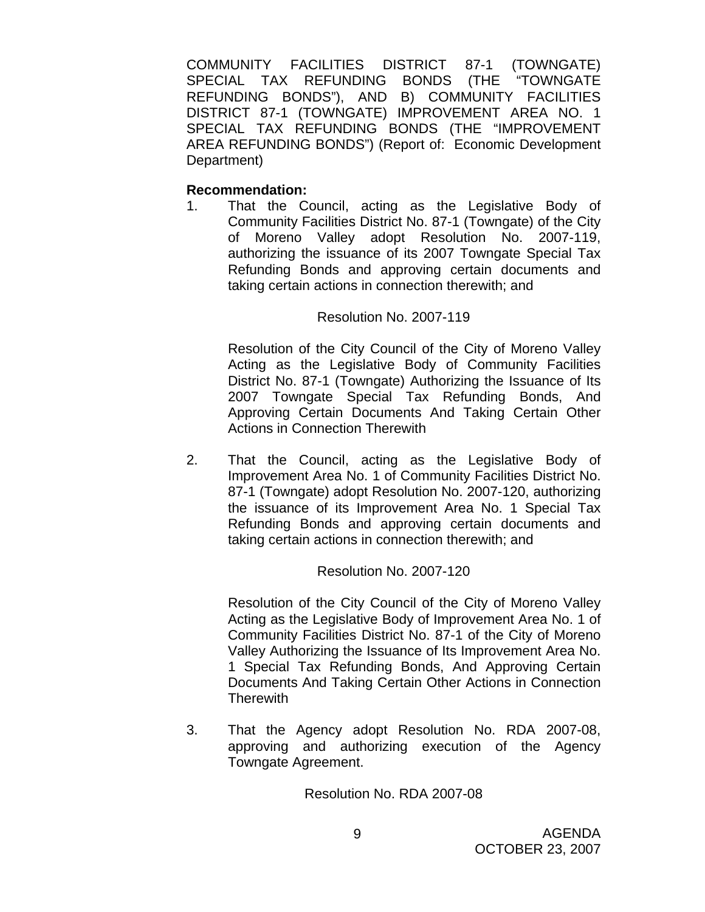COMMUNITY FACILITIES DISTRICT 87-1 (TOWNGATE) SPECIAL TAX REFUNDING BONDS (THE "TOWNGATE REFUNDING BONDS"), AND B) COMMUNITY FACILITIES DISTRICT 87-1 (TOWNGATE) IMPROVEMENT AREA NO. 1 SPECIAL TAX REFUNDING BONDS (THE "IMPROVEMENT AREA REFUNDING BONDS") (Report of: Economic Development Department)

# **Recommendation:**

1. That the Council, acting as the Legislative Body of Community Facilities District No. 87-1 (Towngate) of the City of Moreno Valley adopt Resolution No. 2007-119, authorizing the issuance of its 2007 Towngate Special Tax Refunding Bonds and approving certain documents and taking certain actions in connection therewith; and

# Resolution No. 2007-119

Resolution of the City Council of the City of Moreno Valley Acting as the Legislative Body of Community Facilities District No. 87-1 (Towngate) Authorizing the Issuance of Its 2007 Towngate Special Tax Refunding Bonds, And Approving Certain Documents And Taking Certain Other Actions in Connection Therewith

2. That the Council, acting as the Legislative Body of Improvement Area No. 1 of Community Facilities District No. 87-1 (Towngate) adopt Resolution No. 2007-120, authorizing the issuance of its Improvement Area No. 1 Special Tax Refunding Bonds and approving certain documents and taking certain actions in connection therewith; and

# Resolution No. 2007-120

Resolution of the City Council of the City of Moreno Valley Acting as the Legislative Body of Improvement Area No. 1 of Community Facilities District No. 87-1 of the City of Moreno Valley Authorizing the Issuance of Its Improvement Area No. 1 Special Tax Refunding Bonds, And Approving Certain Documents And Taking Certain Other Actions in Connection **Therewith** 

3. That the Agency adopt Resolution No. RDA 2007-08, approving and authorizing execution of the Agency Towngate Agreement.

Resolution No. RDA 2007-08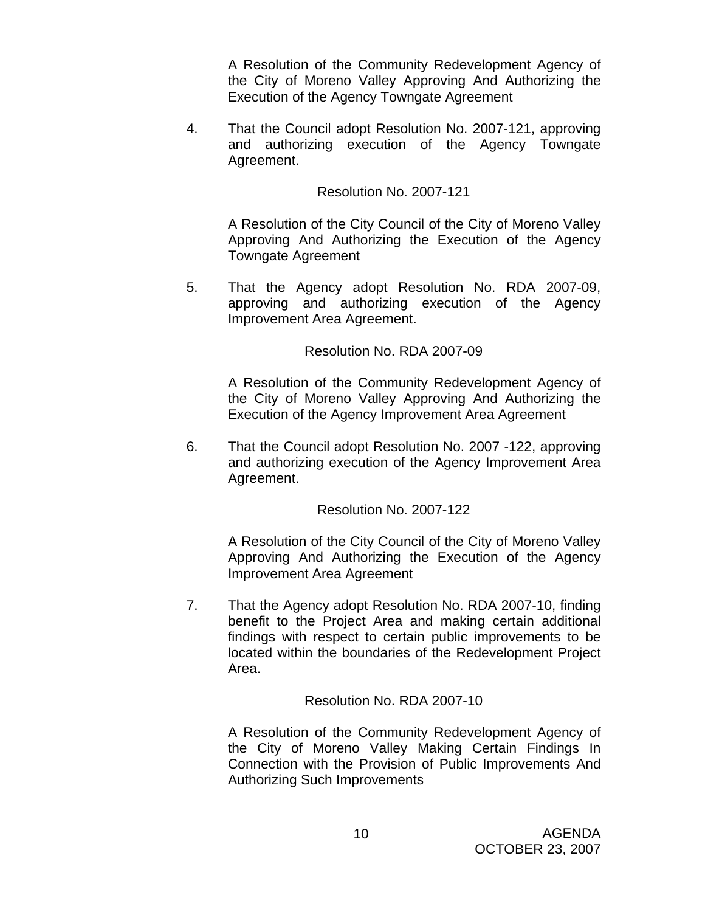A Resolution of the Community Redevelopment Agency of the City of Moreno Valley Approving And Authorizing the Execution of the Agency Towngate Agreement

4. That the Council adopt Resolution No. 2007-121, approving and authorizing execution of the Agency Towngate Agreement.

Resolution No. 2007-121

A Resolution of the City Council of the City of Moreno Valley Approving And Authorizing the Execution of the Agency Towngate Agreement

5. That the Agency adopt Resolution No. RDA 2007-09, approving and authorizing execution of the Agency Improvement Area Agreement.

Resolution No. RDA 2007-09

A Resolution of the Community Redevelopment Agency of the City of Moreno Valley Approving And Authorizing the Execution of the Agency Improvement Area Agreement

6. That the Council adopt Resolution No. 2007 -122, approving and authorizing execution of the Agency Improvement Area Agreement.

Resolution No. 2007-122

A Resolution of the City Council of the City of Moreno Valley Approving And Authorizing the Execution of the Agency Improvement Area Agreement

7. That the Agency adopt Resolution No. RDA 2007-10, finding benefit to the Project Area and making certain additional findings with respect to certain public improvements to be located within the boundaries of the Redevelopment Project Area.

Resolution No. RDA 2007-10

A Resolution of the Community Redevelopment Agency of the City of Moreno Valley Making Certain Findings In Connection with the Provision of Public Improvements And Authorizing Such Improvements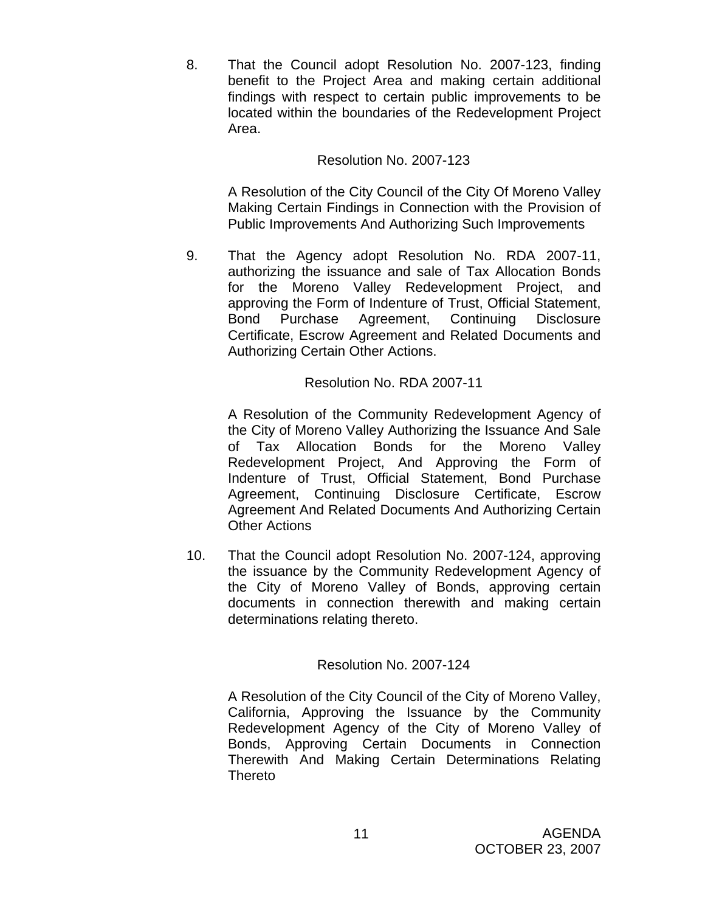8. That the Council adopt Resolution No. 2007-123, finding benefit to the Project Area and making certain additional findings with respect to certain public improvements to be located within the boundaries of the Redevelopment Project Area.

# Resolution No. 2007-123

A Resolution of the City Council of the City Of Moreno Valley Making Certain Findings in Connection with the Provision of Public Improvements And Authorizing Such Improvements

9. That the Agency adopt Resolution No. RDA 2007-11, authorizing the issuance and sale of Tax Allocation Bonds for the Moreno Valley Redevelopment Project, and approving the Form of Indenture of Trust, Official Statement, Bond Purchase Agreement, Continuing Disclosure Certificate, Escrow Agreement and Related Documents and Authorizing Certain Other Actions.

# Resolution No. RDA 2007-11

A Resolution of the Community Redevelopment Agency of the City of Moreno Valley Authorizing the Issuance And Sale of Tax Allocation Bonds for the Moreno Valley Redevelopment Project, And Approving the Form of Indenture of Trust, Official Statement, Bond Purchase Agreement, Continuing Disclosure Certificate, Escrow Agreement And Related Documents And Authorizing Certain Other Actions

10. That the Council adopt Resolution No. 2007-124, approving the issuance by the Community Redevelopment Agency of the City of Moreno Valley of Bonds, approving certain documents in connection therewith and making certain determinations relating thereto.

# Resolution No. 2007-124

A Resolution of the City Council of the City of Moreno Valley, California, Approving the Issuance by the Community Redevelopment Agency of the City of Moreno Valley of Bonds, Approving Certain Documents in Connection Therewith And Making Certain Determinations Relating Thereto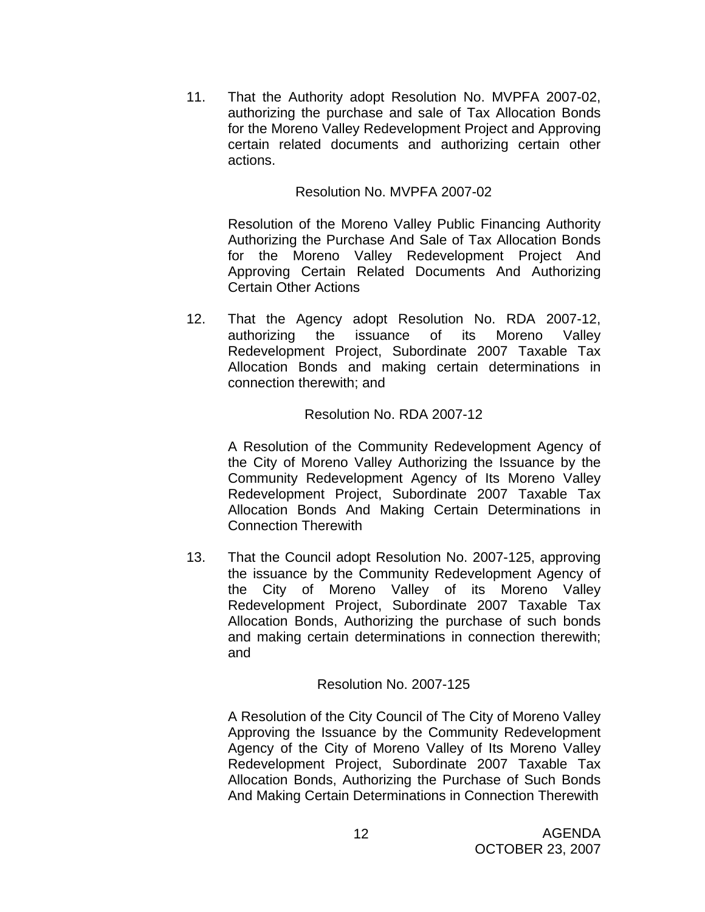11. That the Authority adopt Resolution No. MVPFA 2007-02, authorizing the purchase and sale of Tax Allocation Bonds for the Moreno Valley Redevelopment Project and Approving certain related documents and authorizing certain other actions.

# Resolution No. MVPFA 2007-02

Resolution of the Moreno Valley Public Financing Authority Authorizing the Purchase And Sale of Tax Allocation Bonds for the Moreno Valley Redevelopment Project And Approving Certain Related Documents And Authorizing Certain Other Actions

12. That the Agency adopt Resolution No. RDA 2007-12, authorizing the issuance of its Moreno Valley Redevelopment Project, Subordinate 2007 Taxable Tax Allocation Bonds and making certain determinations in connection therewith; and

# Resolution No. RDA 2007-12

A Resolution of the Community Redevelopment Agency of the City of Moreno Valley Authorizing the Issuance by the Community Redevelopment Agency of Its Moreno Valley Redevelopment Project, Subordinate 2007 Taxable Tax Allocation Bonds And Making Certain Determinations in Connection Therewith

13. That the Council adopt Resolution No. 2007-125, approving the issuance by the Community Redevelopment Agency of the City of Moreno Valley of its Moreno Valley Redevelopment Project, Subordinate 2007 Taxable Tax Allocation Bonds, Authorizing the purchase of such bonds and making certain determinations in connection therewith; and

# Resolution No. 2007-125

A Resolution of the City Council of The City of Moreno Valley Approving the Issuance by the Community Redevelopment Agency of the City of Moreno Valley of Its Moreno Valley Redevelopment Project, Subordinate 2007 Taxable Tax Allocation Bonds, Authorizing the Purchase of Such Bonds And Making Certain Determinations in Connection Therewith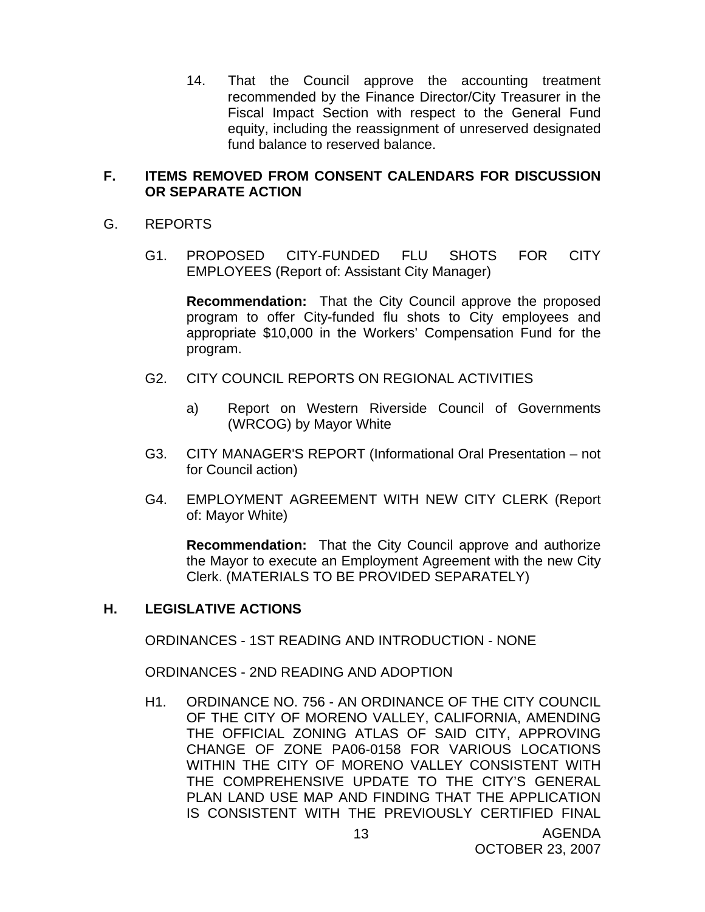14. That the Council approve the accounting treatment recommended by the Finance Director/City Treasurer in the Fiscal Impact Section with respect to the General Fund equity, including the reassignment of unreserved designated fund balance to reserved balance.

# **F. ITEMS REMOVED FROM CONSENT CALENDARS FOR DISCUSSION OR SEPARATE ACTION**

- G. REPORTS
	- G1. PROPOSED CITY-FUNDED FLU SHOTS FOR CITY EMPLOYEES (Report of: Assistant City Manager)

**Recommendation:** That the City Council approve the proposed program to offer City-funded flu shots to City employees and appropriate \$10,000 in the Workers' Compensation Fund for the program.

- G2. CITY COUNCIL REPORTS ON REGIONAL ACTIVITIES
	- a) Report on Western Riverside Council of Governments (WRCOG) by Mayor White
- G3. CITY MANAGER'S REPORT (Informational Oral Presentation not for Council action)
- G4. EMPLOYMENT AGREEMENT WITH NEW CITY CLERK (Report of: Mayor White)

**Recommendation:** That the City Council approve and authorize the Mayor to execute an Employment Agreement with the new City Clerk. (MATERIALS TO BE PROVIDED SEPARATELY)

# **H. LEGISLATIVE ACTIONS**

ORDINANCES - 1ST READING AND INTRODUCTION - NONE

ORDINANCES - 2ND READING AND ADOPTION

H1. ORDINANCE NO. 756 - AN ORDINANCE OF THE CITY COUNCIL OF THE CITY OF MORENO VALLEY, CALIFORNIA, AMENDING THE OFFICIAL ZONING ATLAS OF SAID CITY, APPROVING CHANGE OF ZONE PA06-0158 FOR VARIOUS LOCATIONS WITHIN THE CITY OF MORENO VALLEY CONSISTENT WITH THE COMPREHENSIVE UPDATE TO THE CITY'S GENERAL PLAN LAND USE MAP AND FINDING THAT THE APPLICATION IS CONSISTENT WITH THE PREVIOUSLY CERTIFIED FINAL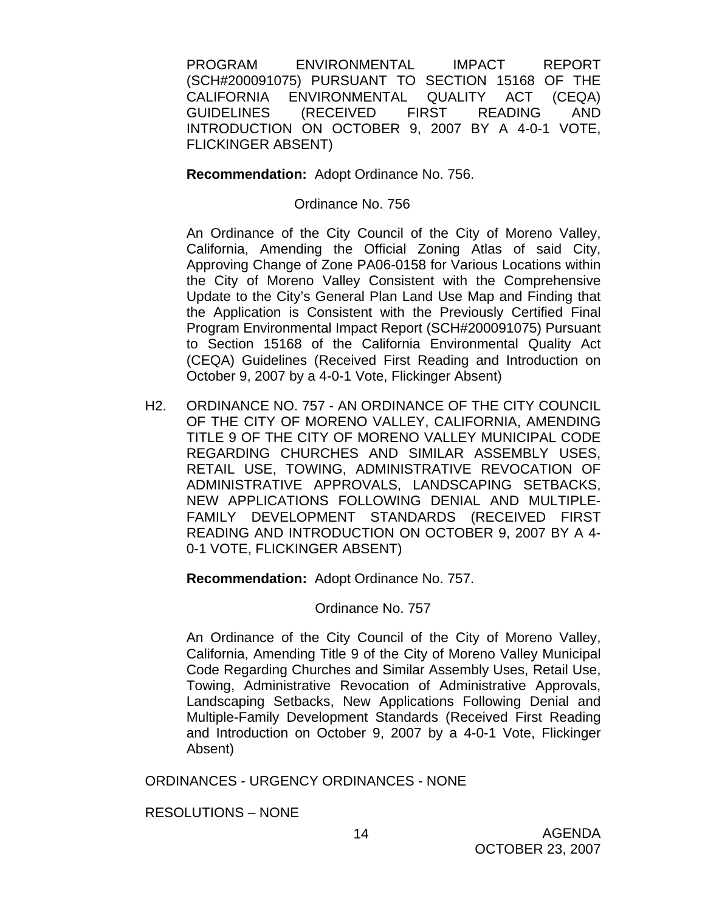PROGRAM ENVIRONMENTAL IMPACT REPORT (SCH#200091075) PURSUANT TO SECTION 15168 OF THE CALIFORNIA ENVIRONMENTAL QUALITY ACT (CEQA) GUIDELINES (RECEIVED FIRST READING AND INTRODUCTION ON OCTOBER 9, 2007 BY A 4-0-1 VOTE, FLICKINGER ABSENT)

**Recommendation:** Adopt Ordinance No. 756.

Ordinance No. 756

An Ordinance of the City Council of the City of Moreno Valley, California, Amending the Official Zoning Atlas of said City, Approving Change of Zone PA06-0158 for Various Locations within the City of Moreno Valley Consistent with the Comprehensive Update to the City's General Plan Land Use Map and Finding that the Application is Consistent with the Previously Certified Final Program Environmental Impact Report (SCH#200091075) Pursuant to Section 15168 of the California Environmental Quality Act (CEQA) Guidelines (Received First Reading and Introduction on October 9, 2007 by a 4-0-1 Vote, Flickinger Absent)

H2. ORDINANCE NO. 757 - AN ORDINANCE OF THE CITY COUNCIL OF THE CITY OF MORENO VALLEY, CALIFORNIA, AMENDING TITLE 9 OF THE CITY OF MORENO VALLEY MUNICIPAL CODE REGARDING CHURCHES AND SIMILAR ASSEMBLY USES, RETAIL USE, TOWING, ADMINISTRATIVE REVOCATION OF ADMINISTRATIVE APPROVALS, LANDSCAPING SETBACKS, NEW APPLICATIONS FOLLOWING DENIAL AND MULTIPLE-FAMILY DEVELOPMENT STANDARDS (RECEIVED FIRST READING AND INTRODUCTION ON OCTOBER 9, 2007 BY A 4- 0-1 VOTE, FLICKINGER ABSENT)

**Recommendation:** Adopt Ordinance No. 757.

Ordinance No. 757

An Ordinance of the City Council of the City of Moreno Valley, California, Amending Title 9 of the City of Moreno Valley Municipal Code Regarding Churches and Similar Assembly Uses, Retail Use, Towing, Administrative Revocation of Administrative Approvals, Landscaping Setbacks, New Applications Following Denial and Multiple-Family Development Standards (Received First Reading and Introduction on October 9, 2007 by a 4-0-1 Vote, Flickinger Absent)

ORDINANCES - URGENCY ORDINANCES - NONE

RESOLUTIONS – NONE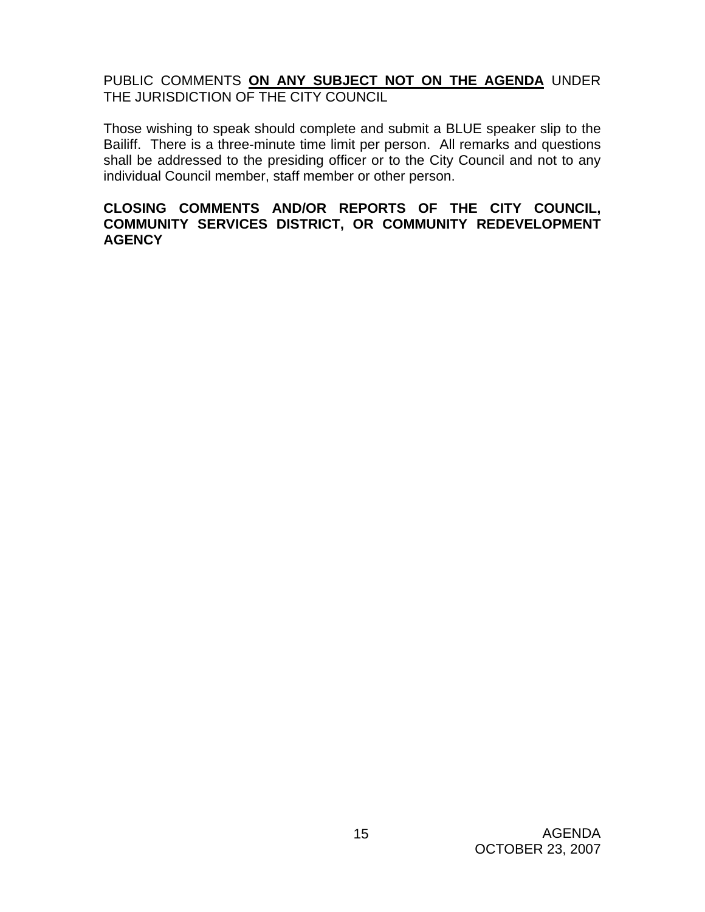# PUBLIC COMMENTS **ON ANY SUBJECT NOT ON THE AGENDA** UNDER THE JURISDICTION OF THE CITY COUNCIL

Those wishing to speak should complete and submit a BLUE speaker slip to the Bailiff. There is a three-minute time limit per person. All remarks and questions shall be addressed to the presiding officer or to the City Council and not to any individual Council member, staff member or other person.

# **CLOSING COMMENTS AND/OR REPORTS OF THE CITY COUNCIL, COMMUNITY SERVICES DISTRICT, OR COMMUNITY REDEVELOPMENT AGENCY**